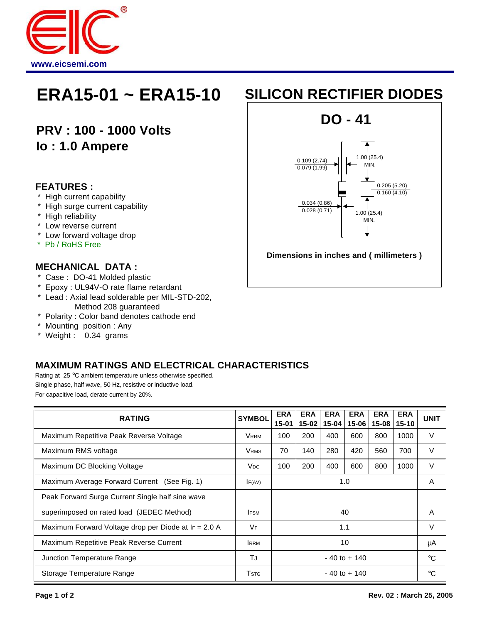

**PRV : 100 - 1000 Volts Io : 1.0 Ampere**

### **FEATURES :**

- \* High current capability
- \* High surge current capability
- \* High reliability
- \* Low reverse current
- \* Low forward voltage drop
- \* Pb / RoHS Free

### **MECHANICAL DATA :**

- \* Case : DO-41 Molded plastic
- \* Epoxy : UL94V-O rate flame retardant
- \* Lead : Axial lead solderable per MIL-STD-202, Method 208 guaranteed
- \* Polarity : Color band denotes cathode end
- \* Mounting position : Any
- \* Weight : 0.34 grams

## **MAXIMUM RATINGS AND ELECTRICAL CHARACTERISTICS**

Rating at 25 °C ambient temperature unless otherwise specified. Single phase, half wave, 50 Hz, resistive or inductive load. For capacitive load, derate current by 20%.

| <b>RATING</b>                                           | <b>SYMBOL</b>           | <b>ERA</b><br>15-01 | <b>ERA</b><br>$15 - 02$ | <b>ERA</b><br>15-04 | <b>ERA</b><br>$15-06$ | <b>ERA</b><br>$15 - 08$ | <b>ERA</b><br>$15 - 10$ | <b>UNIT</b> |
|---------------------------------------------------------|-------------------------|---------------------|-------------------------|---------------------|-----------------------|-------------------------|-------------------------|-------------|
| Maximum Repetitive Peak Reverse Voltage                 | <b>VRRM</b>             | 100                 | 200                     | 400                 | 600                   | 800                     | 1000                    | V           |
| Maximum RMS voltage                                     | <b>VRMS</b>             | 70                  | 140                     | 280                 | 420                   | 560                     | 700                     | V           |
| Maximum DC Blocking Voltage                             | <b>V<sub>DC</sub></b>   | 100                 | 200                     | 400                 | 600                   | 800                     | 1000                    | V           |
| Maximum Average Forward Current (See Fig. 1)            | F(AV)                   | 1.0                 |                         |                     |                       |                         |                         | Α           |
| Peak Forward Surge Current Single half sine wave        |                         |                     |                         |                     |                       |                         |                         |             |
| superimposed on rated load (JEDEC Method)               | <b>IFSM</b>             | 40                  |                         |                     |                       |                         |                         | Α           |
| Maximum Forward Voltage drop per Diode at $I_F = 2.0$ A | <b>VF</b>               | 1.1                 |                         |                     |                       |                         |                         | v           |
| Maximum Repetitive Peak Reverse Current                 | <b>IRRM</b>             | 10                  |                         |                     |                       |                         |                         | μA          |
| Junction Temperature Range                              | ТJ                      | $-40$ to $+140$     |                         |                     |                       |                         |                         | $^{\circ}C$ |
| Storage Temperature Range                               | <b>T</b> <sub>STG</sub> | $-40$ to $+140$     |                         |                     |                       |                         |                         | °C          |

# **ERA15-01 ~ ERA15-10 SILICON RECTIFIER DIODES**

**DO - 41**



**Dimensions in inches and ( millimeters )**